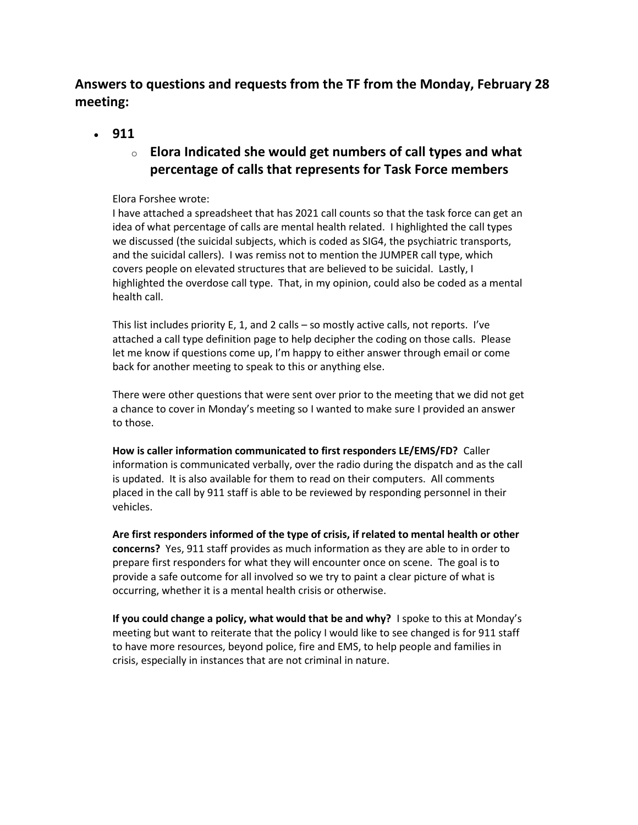**Answers to questions and requests from the TF from the Monday, February 28 meeting:**

**911** 

## o **Elora Indicated she would get numbers of call types and what percentage of calls that represents for Task Force members**

## Elora Forshee wrote:

I have attached a spreadsheet that has 2021 call counts so that the task force can get an idea of what percentage of calls are mental health related. I highlighted the call types we discussed (the suicidal subjects, which is coded as SIG4, the psychiatric transports, and the suicidal callers). I was remiss not to mention the JUMPER call type, which covers people on elevated structures that are believed to be suicidal. Lastly, I highlighted the overdose call type. That, in my opinion, could also be coded as a mental health call.

This list includes priority E, 1, and 2 calls – so mostly active calls, not reports. I've attached a call type definition page to help decipher the coding on those calls. Please let me know if questions come up, I'm happy to either answer through email or come back for another meeting to speak to this or anything else.

There were other questions that were sent over prior to the meeting that we did not get a chance to cover in Monday's meeting so I wanted to make sure I provided an answer to those.

**How is caller information communicated to first responders LE/EMS/FD?** Caller information is communicated verbally, over the radio during the dispatch and as the call is updated. It is also available for them to read on their computers. All comments placed in the call by 911 staff is able to be reviewed by responding personnel in their vehicles.

**Are first responders informed of the type of crisis, if related to mental health or other concerns?** Yes, 911 staff provides as much information as they are able to in order to prepare first responders for what they will encounter once on scene. The goal is to provide a safe outcome for all involved so we try to paint a clear picture of what is occurring, whether it is a mental health crisis or otherwise.

**If you could change a policy, what would that be and why?** I spoke to this at Monday's meeting but want to reiterate that the policy I would like to see changed is for 911 staff to have more resources, beyond police, fire and EMS, to help people and families in crisis, especially in instances that are not criminal in nature.